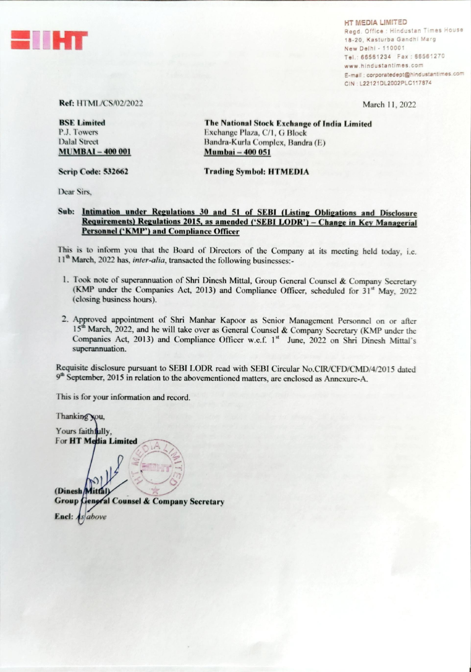

**HT MEDIA LIMITED** Regd. Office : Hindustan Times House 18-20. Kasturba Gandhi Marg New Delhi - 110001 66561234 www.hindustantimes.com E-mail : corporatedept@hindustantimes.com CIN : L22121DL2002PLC117874

March 11, 2022

## Ref: HTML/CS/02/2022

BSE Limited P.J. Towers Dalal Street **MUMBAI - 400 001** 

Scrip Code: 532662

The National Stock Exchange of India Limited Exchange Plaza, C/1, G Block Bandra-Kurla Complex, Bandra (E) Mumbai — 400 051

Trading Symbol: HTMEDIA

Dear Sirs,

## Sub: Intimation under Regulations 30 and 51 of SEBI (Listing Obligations and Disclosure Requirements) Regulations 2015, as amended ('SEBI LODR') - Change in Key Managerial Personnel ('KMP') and Compliance Officer

This is to inform you that the Board of Directors of the Company at its meeting held today, i.e. 11<sup>th</sup> March, 2022 has, *inter-alia*, transacted the following businesses:-

- 1. Took note of superannuation of Shri Dinesh Mittal, Group General Counsel & Company Secretary (KMP under the Companies Act, 2013) and Compliance Officer, scheduled for  $31<sup>st</sup>$  May, 2022 (closing business hours).
- 2. Approved appointment of Shri Manhar Kapoor as Senior Management Personnel on or after 15<sup>th</sup> March, 2022, and he will take over as General Counsel & Company Secretary (KMP under the Companies Act, 2013) and Compliance Officer w.e.f. 1<sup>st</sup> June, 2022 on Shri Dinesh Mittal's superannuation.

Requisite disclosure pursuant to SEBI LODR read with SEBI Circular No.CIR/CFD/CMD/4/2015 dated  $9<sup>th</sup> September, 2015$  in relation to the abovementioned matters, are enclosed as Annexure-A.

This is for your information and record.

Thanking you, Yours faithfully, For HT Media Limited  $(Dinesh)$ Group General Counsel & Company Secretary **Encl:**  $As$  above